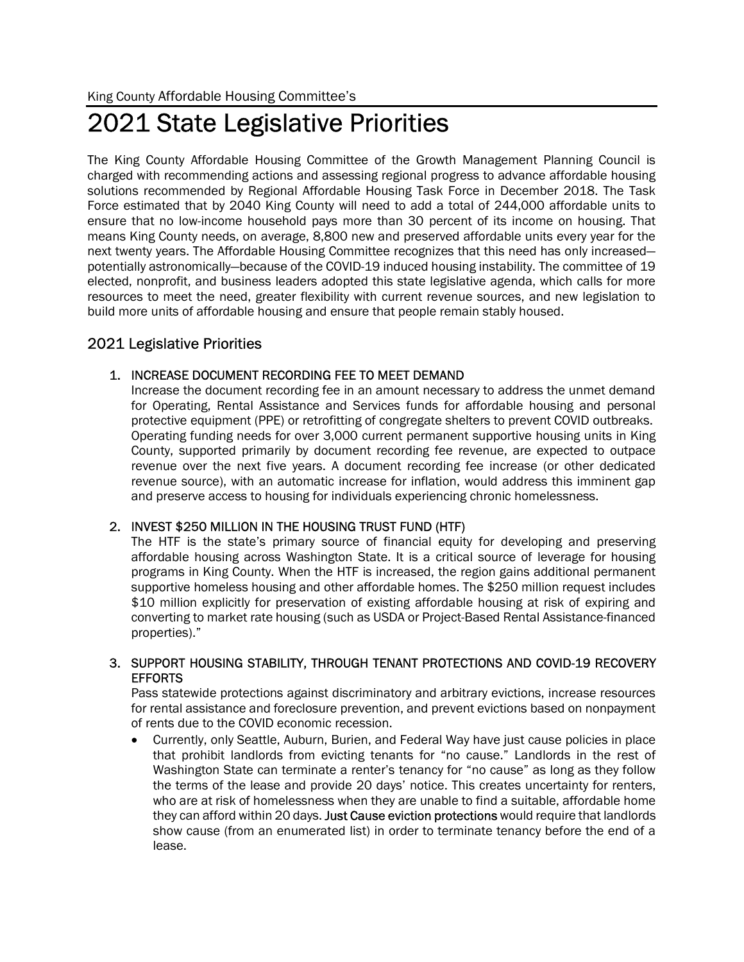# 2021 State Legislative Priorities

The King County Affordable Housing Committee of the Growth Management Planning Council is charged with recommending actions and assessing regional progress to advance affordable housing solutions recommended by Regional Affordable Housing Task Force in December 2018. The Task Force estimated that by 2040 King County will need to add a total of 244,000 affordable units to ensure that no low-income household pays more than 30 percent of its income on housing. That means King County needs, on average, 8,800 new and preserved affordable units every year for the next twenty years. The Affordable Housing Committee recognizes that this need has only increased potentially astronomically—because of the COVID-19 induced housing instability. The committee of 19 elected, nonprofit, and business leaders adopted this state legislative agenda, which calls for more resources to meet the need, greater flexibility with current revenue sources, and new legislation to build more units of affordable housing and ensure that people remain stably housed.

# 2021 Legislative Priorities

### 1. INCREASE DOCUMENT RECORDING FEE TO MEET DEMAND

Increase the document recording fee in an amount necessary to address the unmet demand for Operating, Rental Assistance and Services funds for affordable housing and personal protective equipment (PPE) or retrofitting of congregate shelters to prevent COVID outbreaks. Operating funding needs for over 3,000 current permanent supportive housing units in King County, supported primarily by document recording fee revenue, are expected to outpace revenue over the next five years. A document recording fee increase (or other dedicated revenue source), with an automatic increase for inflation, would address this imminent gap and preserve access to housing for individuals experiencing chronic homelessness.

## 2. INVEST \$250 MILLION IN THE HOUSING TRUST FUND (HTF)

The HTF is the state's primary source of financial equity for developing and preserving affordable housing across Washington State. It is a critical source of leverage for housing programs in King County. When the HTF is increased, the region gains additional permanent supportive homeless housing and other affordable homes. The \$250 million request includes \$10 million explicitly for preservation of existing affordable housing at risk of expiring and converting to market rate housing (such as USDA or Project-Based Rental Assistance-financed properties)."

#### 3. SUPPORT HOUSING STABILITY, THROUGH TENANT PROTECTIONS AND COVID-19 RECOVERY EFFORTS

Pass statewide protections against discriminatory and arbitrary evictions, increase resources for rental assistance and foreclosure prevention, and prevent evictions based on nonpayment of rents due to the COVID economic recession.

 Currently, only Seattle, Auburn, Burien, and Federal Way have just cause policies in place that prohibit landlords from evicting tenants for "no cause." Landlords in the rest of Washington State can terminate a renter's tenancy for "no cause" as long as they follow the terms of the lease and provide 20 days' notice. This creates uncertainty for renters, who are at risk of homelessness when they are unable to find a suitable, affordable home they can afford within 20 days. Just Cause eviction protections would require that landlords show cause (from an enumerated list) in order to terminate tenancy before the end of a lease.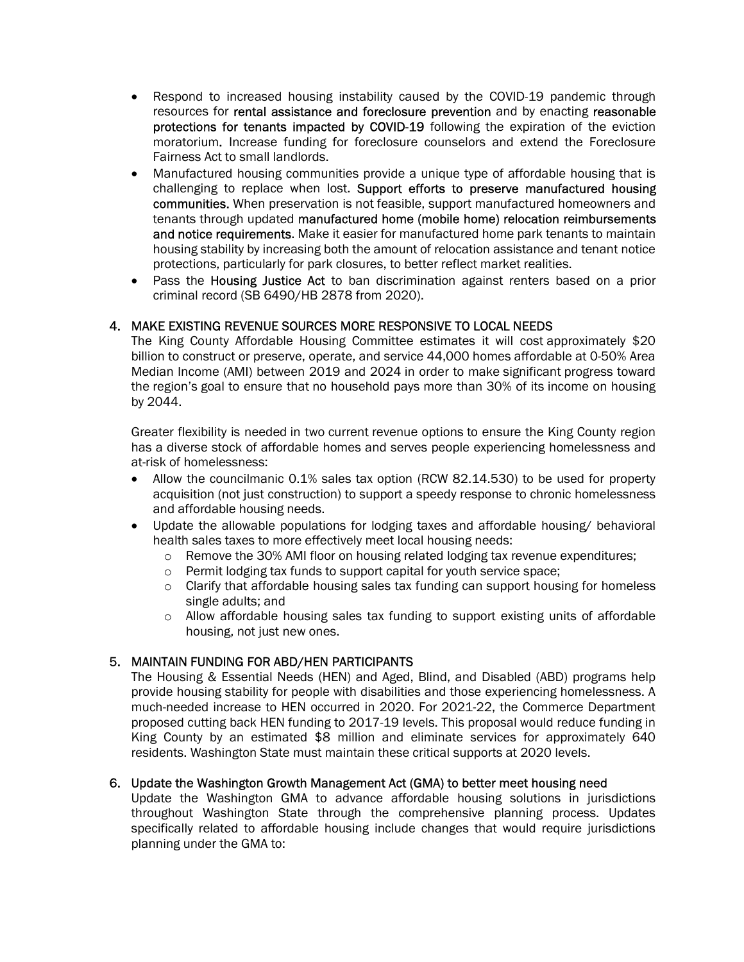- Respond to increased housing instability caused by the COVID-19 pandemic through resources for rental assistance and foreclosure prevention and by enacting reasonable protections for tenants impacted by COVID-19 following the expiration of the eviction moratorium. Increase funding for foreclosure counselors and extend the Foreclosure Fairness Act to small landlords.
- Manufactured housing communities provide a unique type of affordable housing that is challenging to replace when lost. Support efforts to preserve manufactured housing communities. When preservation is not feasible, support manufactured homeowners and tenants through updated manufactured home (mobile home) relocation reimbursements and notice requirements. Make it easier for manufactured home park tenants to maintain housing stability by increasing both the amount of relocation assistance and tenant notice protections, particularly for park closures, to better reflect market realities.
- Pass the Housing Justice Act to ban discrimination against renters based on a prior criminal record (SB 6490/HB 2878 from 2020).

#### 4. MAKE EXISTING REVENUE SOURCES MORE RESPONSIVE TO LOCAL NEEDS

The King County Affordable Housing Committee estimates it will cost approximately \$20 billion to construct or preserve, operate, and service 44,000 homes affordable at 0-50% Area Median Income (AMI) between 2019 and 2024 in order to make significant progress toward the region's goal to ensure that no household pays more than 30% of its income on housing by 2044.

Greater flexibility is needed in two current revenue options to ensure the King County region has a diverse stock of affordable homes and serves people experiencing homelessness and at-risk of homelessness:

- Allow the councilmanic 0.1% sales tax option (RCW 82.14.530) to be used for property acquisition (not just construction) to support a speedy response to chronic homelessness and affordable housing needs.
- Update the allowable populations for lodging taxes and affordable housing/ behavioral health sales taxes to more effectively meet local housing needs:
	- o Remove the 30% AMI floor on housing related lodging tax revenue expenditures;
	- o Permit lodging tax funds to support capital for youth service space;
	- $\circ$  Clarify that affordable housing sales tax funding can support housing for homeless single adults; and
	- $\circ$  Allow affordable housing sales tax funding to support existing units of affordable housing, not just new ones.

#### 5. MAINTAIN FUNDING FOR ABD/HEN PARTICIPANTS

The Housing & Essential Needs (HEN) and Aged, Blind, and Disabled (ABD) programs help provide housing stability for people with disabilities and those experiencing homelessness. A much-needed increase to HEN occurred in 2020. For 2021-22, the Commerce Department proposed cutting back HEN funding to 2017-19 levels. This proposal would reduce funding in King County by an estimated \$8 million and eliminate services for approximately 640 residents. Washington State must maintain these critical supports at 2020 levels.

#### 6. Update the Washington Growth Management Act (GMA) to better meet housing need

Update the Washington GMA to advance affordable housing solutions in jurisdictions throughout Washington State through the comprehensive planning process. Updates specifically related to affordable housing include changes that would require jurisdictions planning under the GMA to: